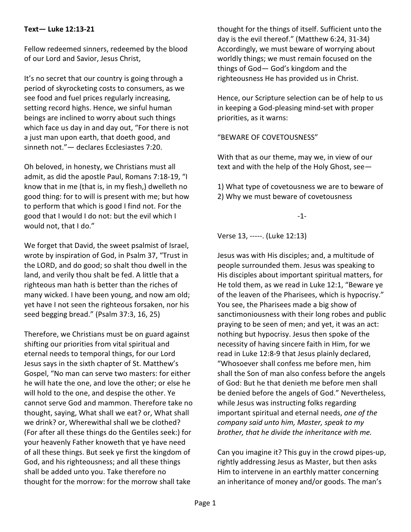## **Text— Luke 12:13-21**

Fellow redeemed sinners, redeemed by the blood of our Lord and Savior, Jesus Christ,

It's no secret that our country is going through a period of skyrocketing costs to consumers, as we see food and fuel prices regularly increasing, setting record highs. Hence, we sinful human beings are inclined to worry about such things which face us day in and day out, "For there is not a just man upon earth, that doeth good, and sinneth not."— declares Ecclesiastes 7:20.

Oh beloved, in honesty, we Christians must all admit, as did the apostle Paul, Romans 7:18-19, "I know that in me (that is, in my flesh,) dwelleth no good thing: for to will is present with me; but how to perform that which is good I find not. For the good that I would I do not: but the evil which I would not, that I do."

We forget that David, the sweet psalmist of Israel, wrote by inspiration of God, in Psalm 37, "Trust in the LORD, and do good; so shalt thou dwell in the land, and verily thou shalt be fed. A little that a righteous man hath is better than the riches of many wicked. I have been young, and now am old; yet have I not seen the righteous forsaken, nor his seed begging bread." (Psalm 37:3, 16, 25)

Therefore, we Christians must be on guard against shifting our priorities from vital spiritual and eternal needs to temporal things, for our Lord Jesus says in the sixth chapter of St. Matthew's Gospel, "No man can serve two masters: for either he will hate the one, and love the other; or else he will hold to the one, and despise the other. Ye cannot serve God and mammon. Therefore take no thought, saying, What shall we eat? or, What shall we drink? or, Wherewithal shall we be clothed? (For after all these things do the Gentiles seek:) for your heavenly Father knoweth that ye have need of all these things. But seek ye first the kingdom of God, and his righteousness; and all these things shall be added unto you. Take therefore no thought for the morrow: for the morrow shall take

thought for the things of itself. Sufficient unto the day is the evil thereof." (Matthew 6:24, 31-34) Accordingly, we must beware of worrying about worldly things; we must remain focused on the things of God— God's kingdom and the righteousness He has provided us in Christ.

Hence, our Scripture selection can be of help to us in keeping a God-pleasing mind-set with proper priorities, as it warns:

"BEWARE OF COVETOUSNESS"

With that as our theme, may we, in view of our text and with the help of the Holy Ghost, see—

1) What type of covetousness we are to beware of 2) Why we must beware of covetousness

-1-

Verse 13, -----. (Luke 12:13)

Jesus was with His disciples; and, a multitude of people surrounded them. Jesus was speaking to His disciples about important spiritual matters, for He told them, as we read in Luke 12:1, "Beware ye of the leaven of the Pharisees, which is hypocrisy." You see, the Pharisees made a big show of sanctimoniousness with their long robes and public praying to be seen of men; and yet, it was an act: nothing but hypocrisy. Jesus then spoke of the necessity of having sincere faith in Him, for we read in Luke 12:8-9 that Jesus plainly declared, "Whosoever shall confess me before men, him shall the Son of man also confess before the angels of God: But he that denieth me before men shall be denied before the angels of God." Nevertheless, while Jesus was instructing folks regarding important spiritual and eternal needs, *one of the company said unto him, Master, speak to my brother, that he divide the inheritance with me.*

Can you imagine it? This guy in the crowd pipes-up, rightly addressing Jesus as Master, but then asks Him to intervene in an earthly matter concerning an inheritance of money and/or goods. The man's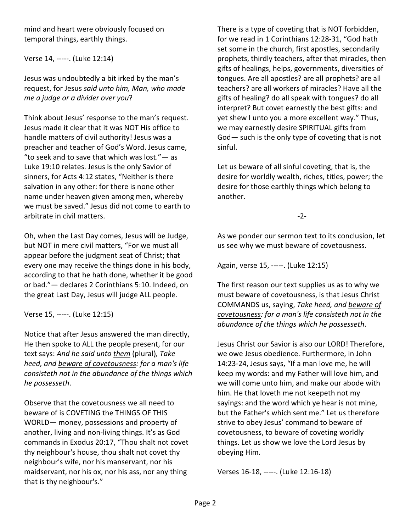mind and heart were obviously focused on temporal things, earthly things.

Verse 14, -----. (Luke 12:14)

Jesus was undoubtedly a bit irked by the man's request, for Jesus *said unto him, Man, who made me a judge or a divider over you*?

Think about Jesus' response to the man's request. Jesus made it clear that it was NOT His office to handle matters of civil authority! Jesus was a preacher and teacher of God's Word. Jesus came, "to seek and to save that which was lost." $-$  as Luke 19:10 relates. Jesus is the only Savior of sinners, for Acts 4:12 states, "Neither is there salvation in any other: for there is none other name under heaven given among men, whereby we must be saved." Jesus did not come to earth to arbitrate in civil matters.

Oh, when the Last Day comes, Jesus will be Judge, but NOT in mere civil matters, "For we must all appear before the judgment seat of Christ; that every one may receive the things done in his body, according to that he hath done, whether it be good or bad."— declares 2 Corinthians 5:10. Indeed, on the great Last Day, Jesus will judge ALL people.

Verse 15, -----. (Luke 12:15)

Notice that after Jesus answered the man directly, He then spoke to ALL the people present, for our text says: *And he said unto them* (plural)*, Take heed, and beware of covetousness: for a man's life consisteth not in the abundance of the things which he possesseth*.

Observe that the covetousness we all need to beware of is COVETING the THINGS OF THIS WORLD— money, possessions and property of another, living and non-living things. It's as God commands in Exodus 20:17, "Thou shalt not covet thy neighbour's house, thou shalt not covet thy neighbour's wife, nor his manservant, nor his maidservant, nor his ox, nor his ass, nor any thing that is thy neighbour's."

There is a type of coveting that is NOT forbidden, for we read in 1 Corinthians 12:28-31, "God hath set some in the church, first apostles, secondarily prophets, thirdly teachers, after that miracles, then gifts of healings, helps, governments, diversities of tongues. Are all apostles? are all prophets? are all teachers? are all workers of miracles? Have all the gifts of healing? do all speak with tongues? do all interpret? But covet earnestly the best gifts: and yet shew I unto you a more excellent way." Thus, we may earnestly desire SPIRITUAL gifts from God— such is the only type of coveting that is not sinful.

Let us beware of all sinful coveting, that is, the desire for worldly wealth, riches, titles, power; the desire for those earthly things which belong to another.

-2-

As we ponder our sermon text to its conclusion, let us see why we must beware of covetousness.

Again, verse 15, -----. (Luke 12:15)

The first reason our text supplies us as to why we must beware of covetousness, is that Jesus Christ COMMANDS us, saying, *Take heed, and beware of covetousness: for a man's life consisteth not in the abundance of the things which he possesseth*.

Jesus Christ our Savior is also our LORD! Therefore, we owe Jesus obedience. Furthermore, in John 14:23-24, Jesus says, "If a man love me, he will keep my words: and my Father will love him, and we will come unto him, and make our abode with him. He that loveth me not keepeth not my sayings: and the word which ye hear is not mine, but the Father's which sent me." Let us therefore strive to obey Jesus' command to beware of covetousness, to beware of coveting worldly things. Let us show we love the Lord Jesus by obeying Him.

Verses 16-18, -----. (Luke 12:16-18)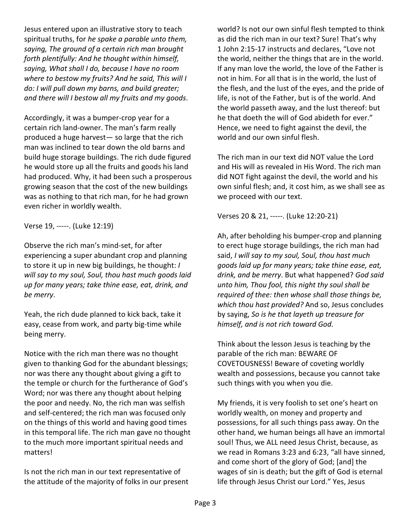Jesus entered upon an illustrative story to teach spiritual truths, for *he spake a parable unto them, saying, The ground of a certain rich man brought forth plentifully: And he thought within himself, saying, What shall I do, because I have no room where to bestow my fruits? And he said, This will I do: I will pull down my barns, and build greater; and there will I bestow all my fruits and my goods*.

Accordingly, it was a bumper-crop year for a certain rich land-owner. The man's farm really produced a huge harvest— so large that the rich man was inclined to tear down the old barns and build huge storage buildings. The rich dude figured he would store up all the fruits and goods his land had produced. Why, it had been such a prosperous growing season that the cost of the new buildings was as nothing to that rich man, for he had grown even richer in worldly wealth.

Verse 19, -----. (Luke 12:19)

Observe the rich man's mind-set, for after experiencing a super abundant crop and planning to store it up in new big buildings, he thought: *I will say to my soul, Soul, thou hast much goods laid up for many years; take thine ease, eat, drink, and be merry*.

Yeah, the rich dude planned to kick back, take it easy, cease from work, and party big-time while being merry.

Notice with the rich man there was no thought given to thanking God for the abundant blessings; nor was there any thought about giving a gift to the temple or church for the furtherance of God's Word; nor was there any thought about helping the poor and needy. No, the rich man was selfish and self-centered; the rich man was focused only on the things of this world and having good times in this temporal life. The rich man gave no thought to the much more important spiritual needs and matters!

Is not the rich man in our text representative of the attitude of the majority of folks in our present world? Is not our own sinful flesh tempted to think as did the rich man in our text? Sure! That's why 1 John 2:15-17 instructs and declares, "Love not the world, neither the things that are in the world. If any man love the world, the love of the Father is not in him. For all that is in the world, the lust of the flesh, and the lust of the eyes, and the pride of life, is not of the Father, but is of the world. And the world passeth away, and the lust thereof: but he that doeth the will of God abideth for ever." Hence, we need to fight against the devil, the world and our own sinful flesh.

The rich man in our text did NOT value the Lord and His will as revealed in His Word. The rich man did NOT fight against the devil, the world and his own sinful flesh; and, it cost him, as we shall see as we proceed with our text.

Verses 20 & 21, -----. (Luke 12:20-21)

Ah, after beholding his bumper-crop and planning to erect huge storage buildings, the rich man had said, *I will say to my soul, Soul, thou hast much goods laid up for many years; take thine ease, eat, drink, and be merry*. But what happened? *God said unto him, Thou fool, this night thy soul shall be required of thee: then whose shall those things be, which thou hast provided?* And so, Jesus concludes by saying, *So is he that layeth up treasure for himself, and is not rich toward God*.

Think about the lesson Jesus is teaching by the parable of the rich man: BEWARE OF COVETOUSNESS! Beware of coveting worldly wealth and possessions, because you cannot take such things with you when you die.

My friends, it is very foolish to set one's heart on worldly wealth, on money and property and possessions, for all such things pass away. On the other hand, we human beings all have an immortal soul! Thus, we ALL need Jesus Christ, because, as we read in Romans 3:23 and 6:23, "all have sinned, and come short of the glory of God; [and] the wages of sin is death; but the gift of God is eternal life through Jesus Christ our Lord." Yes, Jesus